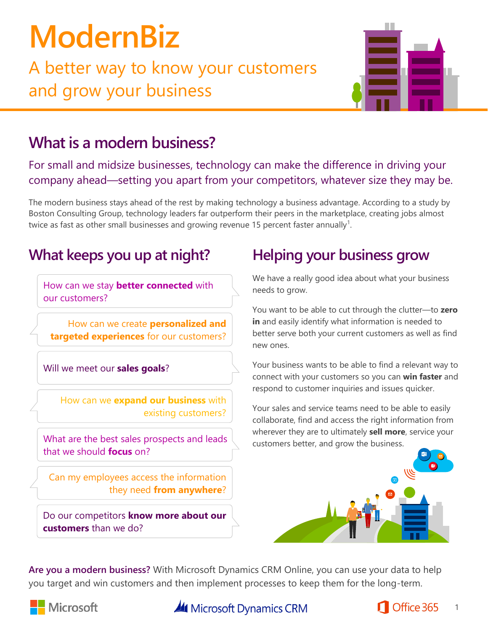# **ModernBiz**

A better way to know your customers and grow your business



## **What is a modern business?**

For small and midsize businesses, technology can make the difference in driving your company ahead—setting you apart from your competitors, whatever size they may be.

The modern business stays ahead of the rest by making technology a business advantage. According to a study by Boston Consulting Group, technology leaders far outperform their peers in the marketplace, creating jobs almost twice as fast as other small businesses and growing revenue 15 percent faster annually<sup>1</sup>.

## **What keeps you up at night? Helping your business grow**

How can we stay **better connected** with our customers?

How can we create **personalized and targeted experiences** for our customers?

Will we meet our **sales goals**?

How can we **expand our business** with existing customers?

What are the best sales prospects and leads that we should **focus** on?

Can my employees access the information they need **from anywhere**?

Do our competitors **know more about our customers** than we do?

We have a really good idea about what your business needs to grow.

You want to be able to cut through the clutter—to **zero in** and easily identify what information is needed to better serve both your current customers as well as find new ones.

Your business wants to be able to find a relevant way to connect with your customers so you can **win faster** and respond to customer inquiries and issues quicker.

Your sales and service teams need to be able to easily collaborate, find and access the right information from wherever they are to ultimately **sell more**, service your customers better, and grow the business.



**Are you a modern business?** With Microsoft Dynamics CRM Online, you can use your data to help you target and win customers and then implement processes to keep them for the long-term.



**All** Microsoft Dynamics CRM